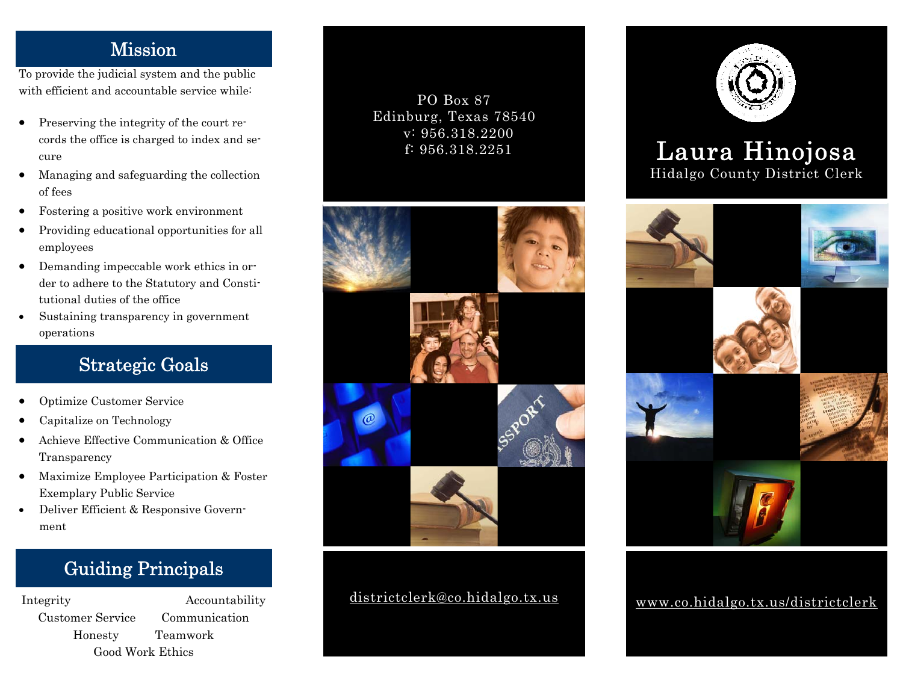#### Mission

To provide the judicial system and the public with efficient and accountable service while:

- Preserving the integrity of the court records the office is charged to index and secure
- Managing and safeguarding the collection of fees
- Fostering a positive work environment
- Providing educational opportunities for all employees
- Demanding impeccable work ethics in order to adhere to the Statutory and Constitutional duties of the office
- Sustaining transparency in government operations

# Strategic Goals

- Optimize Customer Service
- Capitalize on Technology
- Achieve Effective Communication & Office Transparency
- Maximize Employee Participation & Foster Exemplary Public Service
- Deliver Efficient & Responsive Government

# Guiding Principals

Customer Service Communication Honesty Teamwork Good Work Ethics

Integrity Accountability

#### PO Box 87 Edinburg, Texas 78540 v: 956.318.2200 f: 956.318.2251



### districtclerk@co.hidalgo.tx.us



# Laura Hinojosa Hidalgo County District Clerk



www.co.hidalgo.tx.us/districtclerk